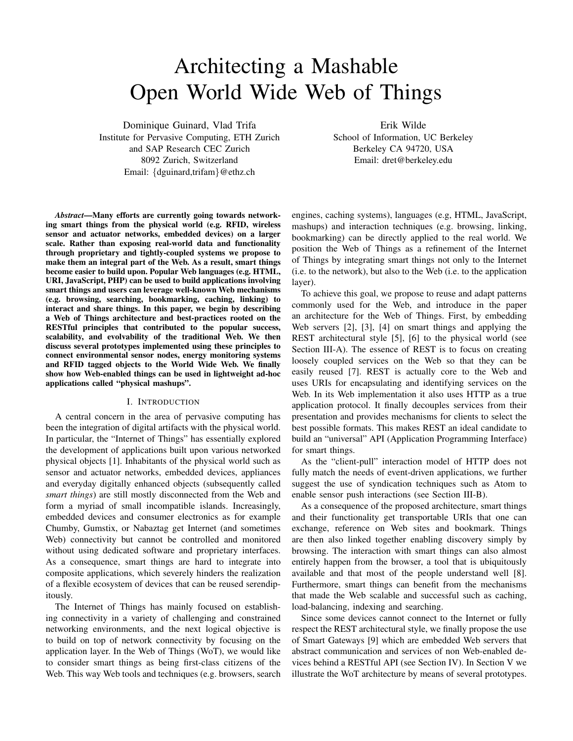# Architecting a Mashable Open World Wide Web of Things

Dominique Guinard, Vlad Trifa Institute for Pervasive Computing, ETH Zurich and SAP Research CEC Zurich 8092 Zurich, Switzerland Email: {dguinard,trifam}@ethz.ch

Erik Wilde School of Information, UC Berkeley Berkeley CA 94720, USA

Email: dret@berkeley.edu

*Abstract*—Many efforts are currently going towards networking smart things from the physical world (e.g. RFID, wireless sensor and actuator networks, embedded devices) on a larger scale. Rather than exposing real-world data and functionality through proprietary and tightly-coupled systems we propose to make them an integral part of the Web. As a result, smart things become easier to build upon. Popular Web languages (e.g. HTML, URI, JavaScript, PHP) can be used to build applications involving smart things and users can leverage well-known Web mechanisms (e.g. browsing, searching, bookmarking, caching, linking) to interact and share things. In this paper, we begin by describing a Web of Things architecture and best-practices rooted on the RESTful principles that contributed to the popular success, scalability, and evolvability of the traditional Web. We then discuss several prototypes implemented using these principles to connect environmental sensor nodes, energy monitoring systems and RFID tagged objects to the World Wide Web. We finally show how Web-enabled things can be used in lightweight ad-hoc applications called "physical mashups".

#### I. INTRODUCTION

A central concern in the area of pervasive computing has been the integration of digital artifacts with the physical world. In particular, the "Internet of Things" has essentially explored the development of applications built upon various networked physical objects [1]. Inhabitants of the physical world such as sensor and actuator networks, embedded devices, appliances and everyday digitally enhanced objects (subsequently called *smart things*) are still mostly disconnected from the Web and form a myriad of small incompatible islands. Increasingly, embedded devices and consumer electronics as for example Chumby, Gumstix, or Nabaztag get Internet (and sometimes Web) connectivity but cannot be controlled and monitored without using dedicated software and proprietary interfaces. As a consequence, smart things are hard to integrate into composite applications, which severely hinders the realization of a flexible ecosystem of devices that can be reused serendipitously.

The Internet of Things has mainly focused on establishing connectivity in a variety of challenging and constrained networking environments, and the next logical objective is to build on top of network connectivity by focusing on the application layer. In the Web of Things (WoT), we would like to consider smart things as being first-class citizens of the Web. This way Web tools and techniques (e.g. browsers, search engines, caching systems), languages (e.g, HTML, JavaScript, mashups) and interaction techniques (e.g. browsing, linking, bookmarking) can be directly applied to the real world. We position the Web of Things as a refinement of the Internet of Things by integrating smart things not only to the Internet (i.e. to the network), but also to the Web (i.e. to the application layer).

To achieve this goal, we propose to reuse and adapt patterns commonly used for the Web, and introduce in the paper an architecture for the Web of Things. First, by embedding Web servers [2], [3], [4] on smart things and applying the REST architectural style [5], [6] to the physical world (see Section III-A). The essence of REST is to focus on creating loosely coupled services on the Web so that they can be easily reused [7]. REST is actually core to the Web and uses URIs for encapsulating and identifying services on the Web. In its Web implementation it also uses HTTP as a true application protocol. It finally decouples services from their presentation and provides mechanisms for clients to select the best possible formats. This makes REST an ideal candidate to build an "universal" API (Application Programming Interface) for smart things.

As the "client-pull" interaction model of HTTP does not fully match the needs of event-driven applications, we further suggest the use of syndication techniques such as Atom to enable sensor push interactions (see Section III-B).

As a consequence of the proposed architecture, smart things and their functionality get transportable URIs that one can exchange, reference on Web sites and bookmark. Things are then also linked together enabling discovery simply by browsing. The interaction with smart things can also almost entirely happen from the browser, a tool that is ubiquitously available and that most of the people understand well [8]. Furthermore, smart things can benefit from the mechanisms that made the Web scalable and successful such as caching, load-balancing, indexing and searching.

Since some devices cannot connect to the Internet or fully respect the REST architectural style, we finally propose the use of Smart Gateways [9] which are embedded Web servers that abstract communication and services of non Web-enabled devices behind a RESTful API (see Section IV). In Section V we illustrate the WoT architecture by means of several prototypes.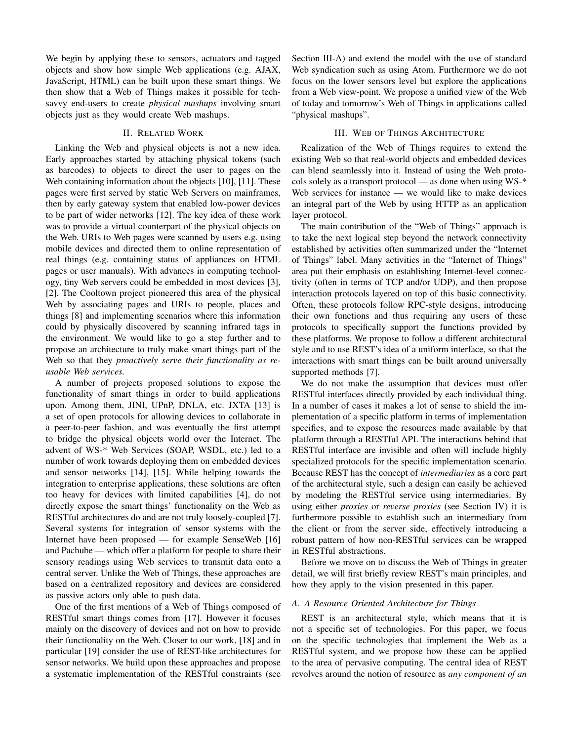We begin by applying these to sensors, actuators and tagged objects and show how simple Web applications (e.g. AJAX, JavaScript, HTML) can be built upon these smart things. We then show that a Web of Things makes it possible for techsavvy end-users to create *physical mashups* involving smart objects just as they would create Web mashups.

## II. RELATED WORK

Linking the Web and physical objects is not a new idea. Early approaches started by attaching physical tokens (such as barcodes) to objects to direct the user to pages on the Web containing information about the objects [10], [11]. These pages were first served by static Web Servers on mainframes, then by early gateway system that enabled low-power devices to be part of wider networks [12]. The key idea of these work was to provide a virtual counterpart of the physical objects on the Web. URIs to Web pages were scanned by users e.g. using mobile devices and directed them to online representation of real things (e.g. containing status of appliances on HTML pages or user manuals). With advances in computing technology, tiny Web servers could be embedded in most devices [3], [2]. The Cooltown project pioneered this area of the physical Web by associating pages and URIs to people, places and things [8] and implementing scenarios where this information could by physically discovered by scanning infrared tags in the environment. We would like to go a step further and to propose an architecture to truly make smart things part of the Web so that they *proactively serve their functionality as reusable Web services.*

A number of projects proposed solutions to expose the functionality of smart things in order to build applications upon. Among them, JINI, UPnP, DNLA, etc. JXTA [13] is a set of open protocols for allowing devices to collaborate in a peer-to-peer fashion, and was eventually the first attempt to bridge the physical objects world over the Internet. The advent of WS-\* Web Services (SOAP, WSDL, etc.) led to a number of work towards deploying them on embedded devices and sensor networks [14], [15]. While helping towards the integration to enterprise applications, these solutions are often too heavy for devices with limited capabilities [4], do not directly expose the smart things' functionality on the Web as RESTful architectures do and are not truly loosely-coupled [7]. Several systems for integration of sensor systems with the Internet have been proposed — for example SenseWeb [16] and Pachube — which offer a platform for people to share their sensory readings using Web services to transmit data onto a central server. Unlike the Web of Things, these approaches are based on a centralized repository and devices are considered as passive actors only able to push data.

One of the first mentions of a Web of Things composed of RESTful smart things comes from [17]. However it focuses mainly on the discovery of devices and not on how to provide their functionality on the Web. Closer to our work, [18] and in particular [19] consider the use of REST-like architectures for sensor networks. We build upon these approaches and propose a systematic implementation of the RESTful constraints (see Section III-A) and extend the model with the use of standard Web syndication such as using Atom. Furthermore we do not focus on the lower sensors level but explore the applications from a Web view-point. We propose a unified view of the Web of today and tomorrow's Web of Things in applications called "physical mashups".

### III. WEB OF THINGS ARCHITECTURE

Realization of the Web of Things requires to extend the existing Web so that real-world objects and embedded devices can blend seamlessly into it. Instead of using the Web protocols solely as a transport protocol — as done when using WS-\* Web services for instance — we would like to make devices an integral part of the Web by using HTTP as an application layer protocol.

The main contribution of the "Web of Things" approach is to take the next logical step beyond the network connectivity established by activities often summarized under the "Internet of Things" label. Many activities in the "Internet of Things" area put their emphasis on establishing Internet-level connectivity (often in terms of TCP and/or UDP), and then propose interaction protocols layered on top of this basic connectivity. Often, these protocols follow RPC-style designs, introducing their own functions and thus requiring any users of these protocols to specifically support the functions provided by these platforms. We propose to follow a different architectural style and to use REST's idea of a uniform interface, so that the interactions with smart things can be built around universally supported methods [7].

We do not make the assumption that devices must offer RESTful interfaces directly provided by each individual thing. In a number of cases it makes a lot of sense to shield the implementation of a specific platform in terms of implementation specifics, and to expose the resources made available by that platform through a RESTful API. The interactions behind that RESTful interface are invisible and often will include highly specialized protocols for the specific implementation scenario. Because REST has the concept of *intermediaries* as a core part of the architectural style, such a design can easily be achieved by modeling the RESTful service using intermediaries. By using either *proxies* or *reverse proxies* (see Section IV) it is furthermore possible to establish such an intermediary from the client or from the server side, effectively introducing a robust pattern of how non-RESTful services can be wrapped in RESTful abstractions.

Before we move on to discuss the Web of Things in greater detail, we will first briefly review REST's main principles, and how they apply to the vision presented in this paper.

# *A. A Resource Oriented Architecture for Things*

REST is an architectural style, which means that it is not a specific set of technologies. For this paper, we focus on the specific technologies that implement the Web as a RESTful system, and we propose how these can be applied to the area of pervasive computing. The central idea of REST revolves around the notion of resource as *any component of an*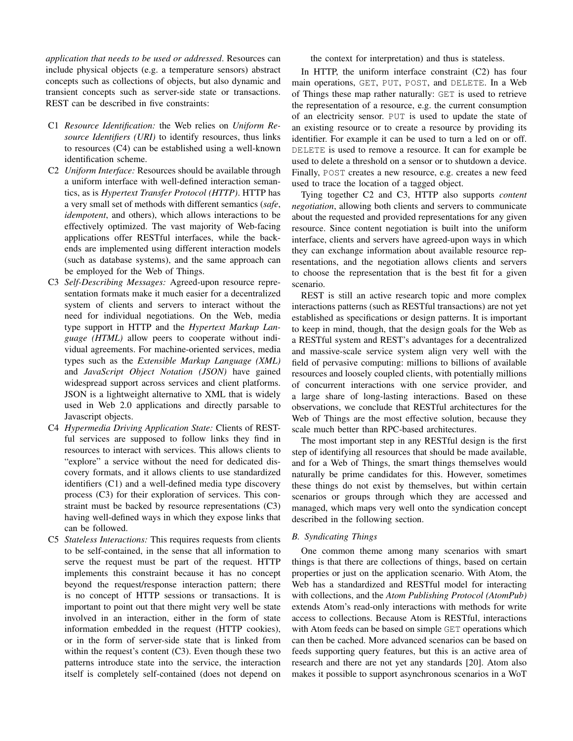*application that needs to be used or addressed*. Resources can include physical objects (e.g. a temperature sensors) abstract concepts such as collections of objects, but also dynamic and transient concepts such as server-side state or transactions. REST can be described in five constraints:

- C1 *Resource Identification:* the Web relies on *Uniform Resource Identifiers (URI)* to identify resources, thus links to resources (C4) can be established using a well-known identification scheme.
- C2 *Uniform Interface:* Resources should be available through a uniform interface with well-defined interaction semantics, as is *Hypertext Transfer Protocol (HTTP)*. HTTP has a very small set of methods with different semantics (*safe*, *idempotent*, and others), which allows interactions to be effectively optimized. The vast majority of Web-facing applications offer RESTful interfaces, while the backends are implemented using different interaction models (such as database systems), and the same approach can be employed for the Web of Things.
- C3 *Self-Describing Messages:* Agreed-upon resource representation formats make it much easier for a decentralized system of clients and servers to interact without the need for individual negotiations. On the Web, media type support in HTTP and the *Hypertext Markup Language (HTML)* allow peers to cooperate without individual agreements. For machine-oriented services, media types such as the *Extensible Markup Language (XML)* and *JavaScript Object Notation (JSON)* have gained widespread support across services and client platforms. JSON is a lightweight alternative to XML that is widely used in Web 2.0 applications and directly parsable to Javascript objects.
- C4 *Hypermedia Driving Application State:* Clients of RESTful services are supposed to follow links they find in resources to interact with services. This allows clients to "explore" a service without the need for dedicated discovery formats, and it allows clients to use standardized identifiers (C1) and a well-defined media type discovery process (C3) for their exploration of services. This constraint must be backed by resource representations (C3) having well-defined ways in which they expose links that can be followed.
- C5 *Stateless Interactions:* This requires requests from clients to be self-contained, in the sense that all information to serve the request must be part of the request. HTTP implements this constraint because it has no concept beyond the request/response interaction pattern; there is no concept of HTTP sessions or transactions. It is important to point out that there might very well be state involved in an interaction, either in the form of state information embedded in the request (HTTP cookies), or in the form of server-side state that is linked from within the request's content  $(C3)$ . Even though these two patterns introduce state into the service, the interaction itself is completely self-contained (does not depend on

the context for interpretation) and thus is stateless.

In HTTP, the uniform interface constraint (C2) has four main operations, GET, PUT, POST, and DELETE. In a Web of Things these map rather naturally: GET is used to retrieve the representation of a resource, e.g. the current consumption of an electricity sensor. PUT is used to update the state of an existing resource or to create a resource by providing its identifier. For example it can be used to turn a led on or off. DELETE is used to remove a resource. It can for example be used to delete a threshold on a sensor or to shutdown a device. Finally, POST creates a new resource, e.g. creates a new feed used to trace the location of a tagged object.

Tying together C2 and C3, HTTP also supports *content negotiation*, allowing both clients and servers to communicate about the requested and provided representations for any given resource. Since content negotiation is built into the uniform interface, clients and servers have agreed-upon ways in which they can exchange information about available resource representations, and the negotiation allows clients and servers to choose the representation that is the best fit for a given scenario.

REST is still an active research topic and more complex interactions patterns (such as RESTful transactions) are not yet established as specifications or design patterns. It is important to keep in mind, though, that the design goals for the Web as a RESTful system and REST's advantages for a decentralized and massive-scale service system align very well with the field of pervasive computing: millions to billions of available resources and loosely coupled clients, with potentially millions of concurrent interactions with one service provider, and a large share of long-lasting interactions. Based on these observations, we conclude that RESTful architectures for the Web of Things are the most effective solution, because they scale much better than RPC-based architectures.

The most important step in any RESTful design is the first step of identifying all resources that should be made available, and for a Web of Things, the smart things themselves would naturally be prime candidates for this. However, sometimes these things do not exist by themselves, but within certain scenarios or groups through which they are accessed and managed, which maps very well onto the syndication concept described in the following section.

# *B. Syndicating Things*

One common theme among many scenarios with smart things is that there are collections of things, based on certain properties or just on the application scenario. With Atom, the Web has a standardized and RESTful model for interacting with collections, and the *Atom Publishing Protocol (AtomPub)* extends Atom's read-only interactions with methods for write access to collections. Because Atom is RESTful, interactions with Atom feeds can be based on simple GET operations which can then be cached. More advanced scenarios can be based on feeds supporting query features, but this is an active area of research and there are not yet any standards [20]. Atom also makes it possible to support asynchronous scenarios in a WoT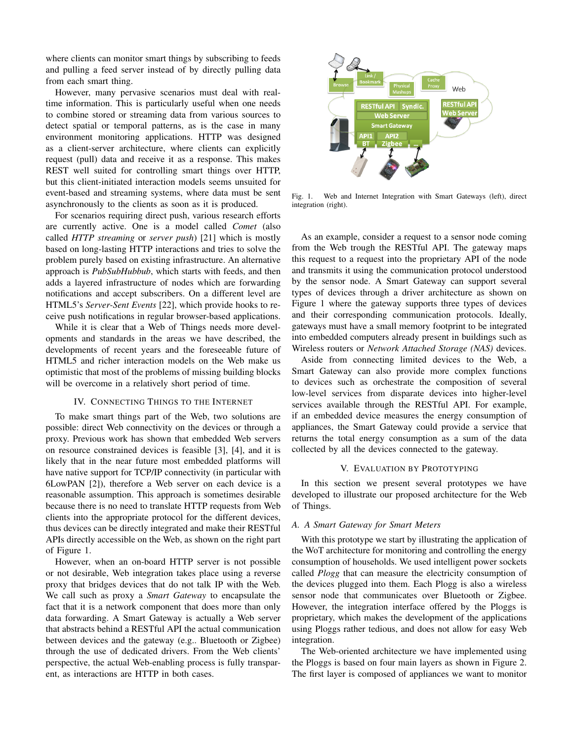where clients can monitor smart things by subscribing to feeds and pulling a feed server instead of by directly pulling data from each smart thing.

However, many pervasive scenarios must deal with realtime information. This is particularly useful when one needs to combine stored or streaming data from various sources to detect spatial or temporal patterns, as is the case in many environment monitoring applications. HTTP was designed as a client-server architecture, where clients can explicitly request (pull) data and receive it as a response. This makes REST well suited for controlling smart things over HTTP, but this client-initiated interaction models seems unsuited for event-based and streaming systems, where data must be sent asynchronously to the clients as soon as it is produced.

For scenarios requiring direct push, various research efforts are currently active. One is a model called *Comet* (also called *HTTP streaming* or *server push*) [21] which is mostly based on long-lasting HTTP interactions and tries to solve the problem purely based on existing infrastructure. An alternative approach is *PubSubHubbub*, which starts with feeds, and then adds a layered infrastructure of nodes which are forwarding notifications and accept subscribers. On a different level are HTML5's *Server-Sent Events* [22], which provide hooks to receive push notifications in regular browser-based applications.

While it is clear that a Web of Things needs more developments and standards in the areas we have described, the developments of recent years and the foreseeable future of HTML5 and richer interaction models on the Web make us optimistic that most of the problems of missing building blocks will be overcome in a relatively short period of time.

## IV. CONNECTING THINGS TO THE INTERNET

To make smart things part of the Web, two solutions are possible: direct Web connectivity on the devices or through a proxy. Previous work has shown that embedded Web servers on resource constrained devices is feasible [3], [4], and it is likely that in the near future most embedded platforms will have native support for TCP/IP connectivity (in particular with 6LowPAN [2]), therefore a Web server on each device is a reasonable assumption. This approach is sometimes desirable because there is no need to translate HTTP requests from Web clients into the appropriate protocol for the different devices, thus devices can be directly integrated and make their RESTful APIs directly accessible on the Web, as shown on the right part of Figure 1.

However, when an on-board HTTP server is not possible or not desirable, Web integration takes place using a reverse proxy that bridges devices that do not talk IP with the Web. We call such as proxy a *Smart Gateway* to encapsulate the fact that it is a network component that does more than only data forwarding. A Smart Gateway is actually a Web server that abstracts behind a RESTful API the actual communication between devices and the gateway (e.g.. Bluetooth or Zigbee) through the use of dedicated drivers. From the Web clients' perspective, the actual Web-enabling process is fully transparent, as interactions are HTTP in both cases.



Fig. 1. Web and Internet Integration with Smart Gateways (left), direct integration (right).

As an example, consider a request to a sensor node coming from the Web trough the RESTful API. The gateway maps this request to a request into the proprietary API of the node and transmits it using the communication protocol understood by the sensor node. A Smart Gateway can support several types of devices through a driver architecture as shown on Figure 1 where the gateway supports three types of devices and their corresponding communication protocols. Ideally, gateways must have a small memory footprint to be integrated into embedded computers already present in buildings such as Wireless routers or *Network Attached Storage (NAS)* devices.

Aside from connecting limited devices to the Web, a Smart Gateway can also provide more complex functions to devices such as orchestrate the composition of several low-level services from disparate devices into higher-level services available through the RESTful API. For example, if an embedded device measures the energy consumption of appliances, the Smart Gateway could provide a service that returns the total energy consumption as a sum of the data collected by all the devices connected to the gateway.

## V. EVALUATION BY PROTOTYPING

In this section we present several prototypes we have developed to illustrate our proposed architecture for the Web of Things.

# *A. A Smart Gateway for Smart Meters*

With this prototype we start by illustrating the application of the WoT architecture for monitoring and controlling the energy consumption of households. We used intelligent power sockets called *Plogg* that can measure the electricity consumption of the devices plugged into them. Each Plogg is also a wireless sensor node that communicates over Bluetooth or Zigbee. However, the integration interface offered by the Ploggs is proprietary, which makes the development of the applications using Ploggs rather tedious, and does not allow for easy Web integration.

The Web-oriented architecture we have implemented using the Ploggs is based on four main layers as shown in Figure 2. The first layer is composed of appliances we want to monitor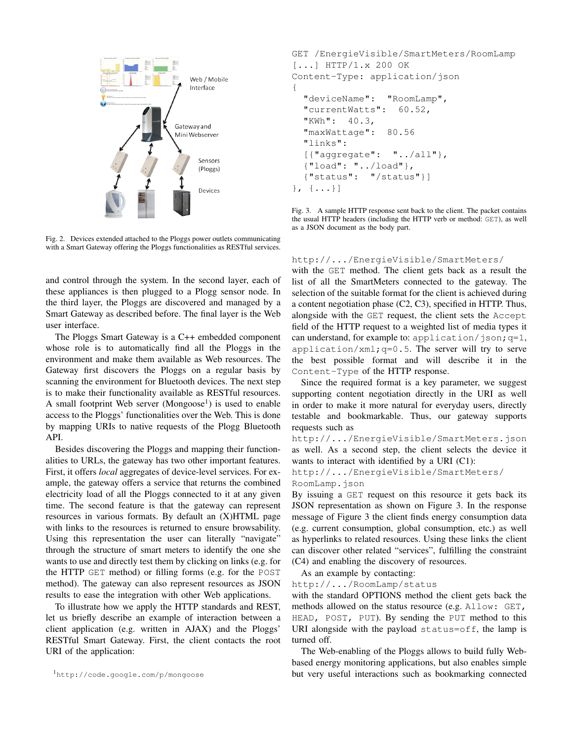

Fig. 2. Devices extended attached to the Ploggs power outlets communicating with a Smart Gateway offering the Ploggs functionalities as RESTful services.

and control through the system. In the second layer, each of these appliances is then plugged to a Plogg sensor node. In the third layer, the Ploggs are discovered and managed by a Smart Gateway as described before. The final layer is the Web user interface.

The Ploggs Smart Gateway is a C++ embedded component whose role is to automatically find all the Ploggs in the environment and make them available as Web resources. The Gateway first discovers the Ploggs on a regular basis by scanning the environment for Bluetooth devices. The next step is to make their functionality available as RESTful resources. A small footprint Web server (Mongoose<sup>1</sup>) is used to enable access to the Ploggs' functionalities over the Web. This is done by mapping URIs to native requests of the Plogg Bluetooth API.

Besides discovering the Ploggs and mapping their functionalities to URLs, the gateway has two other important features. First, it offers *local* aggregates of device-level services. For example, the gateway offers a service that returns the combined electricity load of all the Ploggs connected to it at any given time. The second feature is that the gateway can represent resources in various formats. By default an (X)HTML page with links to the resources is returned to ensure browsability. Using this representation the user can literally "navigate" through the structure of smart meters to identify the one she wants to use and directly test them by clicking on links (e.g. for the HTTP GET method) or filling forms (e.g. for the POST method). The gateway can also represent resources as JSON results to ease the integration with other Web applications.

To illustrate how we apply the HTTP standards and REST, let us briefly describe an example of interaction between a client application (e.g. written in AJAX) and the Ploggs' RESTful Smart Gateway. First, the client contacts the root URI of the application:

```
1http://code.google.com/p/mongoose
```

```
GET /EnergieVisible/SmartMeters/RoomLamp
[...] HTTP/1.x 200 OK
Content-Type: application/json
{
  "deviceName": "RoomLamp",
  "currentWatts": 60.52,
  "KWh": 40.3,
  "maxWattage": 80.56
  "links":
  [ ['aggregate": "../all" },
  {"load": "../load"},
  {"status": "/status"}]
}, {...}]
```
Fig. 3. A sample HTTP response sent back to the client. The packet contains the usual HTTP headers (including the HTTP verb or method: GET), as well as a JSON document as the body part.

#### http://.../EnergieVisible/SmartMeters/

with the GET method. The client gets back as a result the list of all the SmartMeters connected to the gateway. The selection of the suitable format for the client is achieved during a content negotiation phase (C2, C3), specified in HTTP. Thus, alongside with the GET request, the client sets the Accept field of the HTTP request to a weighted list of media types it can understand, for example to: application/json; $q=1$ , application/xml;  $q=0.5$ . The server will try to serve the best possible format and will describe it in the Content-Type of the HTTP response.

Since the required format is a key parameter, we suggest supporting content negotiation directly in the URI as well in order to make it more natural for everyday users, directly testable and bookmarkable. Thus, our gateway supports requests such as

http://.../EnergieVisible/SmartMeters.json as well. As a second step, the client selects the device it wants to interact with identified by a URI (C1):

http://.../EnergieVisible/SmartMeters/ RoomLamp.json

By issuing a GET request on this resource it gets back its JSON representation as shown on Figure 3. In the response message of Figure 3 the client finds energy consumption data (e.g. current consumption, global consumption, etc.) as well as hyperlinks to related resources. Using these links the client can discover other related "services", fulfilling the constraint (C4) and enabling the discovery of resources.

As an example by contacting:

http://.../RoomLamp/status

with the standard OPTIONS method the client gets back the methods allowed on the status resource (e.g. Allow: GET, HEAD, POST, PUT). By sending the PUT method to this URI alongside with the payload status=off, the lamp is turned off.

The Web-enabling of the Ploggs allows to build fully Webbased energy monitoring applications, but also enables simple but very useful interactions such as bookmarking connected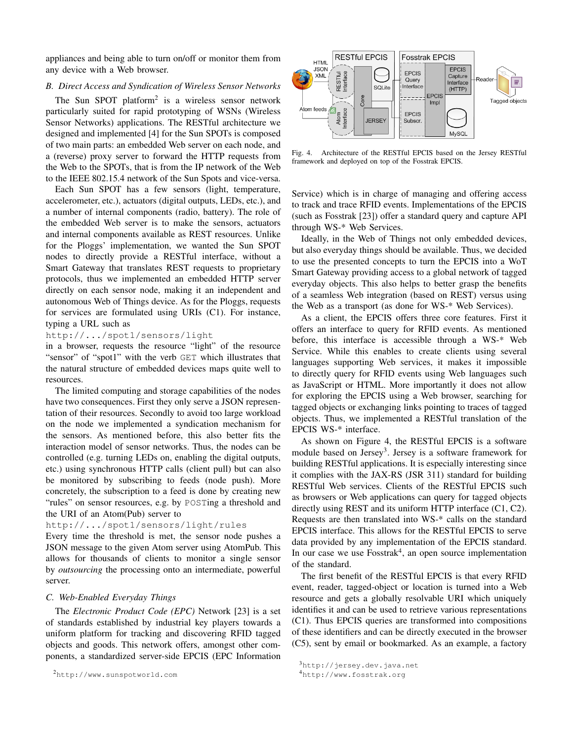appliances and being able to turn on/off or monitor them from any device with a Web browser.

# *B. Direct Access and Syndication of Wireless Sensor Networks*

The Sun SPOT platform<sup>2</sup> is a wireless sensor network particularly suited for rapid prototyping of WSNs (Wireless Sensor Networks) applications. The RESTful architecture we designed and implemented [4] for the Sun SPOTs is composed of two main parts: an embedded Web server on each node, and a (reverse) proxy server to forward the HTTP requests from the Web to the SPOTs, that is from the IP network of the Web to the IEEE 802.15.4 network of the Sun Spots and vice-versa.

Each Sun SPOT has a few sensors (light, temperature, accelerometer, etc.), actuators (digital outputs, LEDs, etc.), and a number of internal components (radio, battery). The role of the embedded Web server is to make the sensors, actuators and internal components available as REST resources. Unlike for the Ploggs' implementation, we wanted the Sun SPOT nodes to directly provide a RESTful interface, without a Smart Gateway that translates REST requests to proprietary protocols, thus we implemented an embedded HTTP server directly on each sensor node, making it an independent and autonomous Web of Things device. As for the Ploggs, requests for services are formulated using URIs (C1). For instance, typing a URL such as

## http://.../spot1/sensors/light

in a browser, requests the resource "light" of the resource "sensor" of "spot1" with the verb GET which illustrates that the natural structure of embedded devices maps quite well to resources.

The limited computing and storage capabilities of the nodes have two consequences. First they only serve a JSON representation of their resources. Secondly to avoid too large workload on the node we implemented a syndication mechanism for the sensors. As mentioned before, this also better fits the interaction model of sensor networks. Thus, the nodes can be controlled (e.g. turning LEDs on, enabling the digital outputs, etc.) using synchronous HTTP calls (client pull) but can also be monitored by subscribing to feeds (node push). More concretely, the subscription to a feed is done by creating new "rules" on sensor resources, e.g. by POSTing a threshold and the URI of an Atom(Pub) server to

### http://.../spot1/sensors/light/rules

Every time the threshold is met, the sensor node pushes a JSON message to the given Atom server using AtomPub. This allows for thousands of clients to monitor a single sensor by *outsourcing* the processing onto an intermediate, powerful server.

# *C. Web-Enabled Everyday Things*

The *Electronic Product Code (EPC)* Network [23] is a set of standards established by industrial key players towards a uniform platform for tracking and discovering RFID tagged objects and goods. This network offers, amongst other components, a standardized server-side EPCIS (EPC Information



Fig. 4. Architecture of the RESTful EPCIS based on the Jersey RESTful framework and deployed on top of the Fosstrak EPCIS.

Service) which is in charge of managing and offering access to track and trace RFID events. Implementations of the EPCIS (such as Fosstrak [23]) offer a standard query and capture API through WS-\* Web Services.

Ideally, in the Web of Things not only embedded devices, but also everyday things should be available. Thus, we decided to use the presented concepts to turn the EPCIS into a WoT Smart Gateway providing access to a global network of tagged everyday objects. This also helps to better grasp the benefits of a seamless Web integration (based on REST) versus using the Web as a transport (as done for WS-\* Web Services).

As a client, the EPCIS offers three core features. First it offers an interface to query for RFID events. As mentioned before, this interface is accessible through a WS-\* Web Service. While this enables to create clients using several languages supporting Web services, it makes it impossible to directly query for RFID events using Web languages such as JavaScript or HTML. More importantly it does not allow for exploring the EPCIS using a Web browser, searching for tagged objects or exchanging links pointing to traces of tagged objects. Thus, we implemented a RESTful translation of the EPCIS WS-\* interface.

As shown on Figure 4, the RESTful EPCIS is a software module based on Jersey<sup>3</sup>. Jersey is a software framework for building RESTful applications. It is especially interesting since it complies with the JAX-RS (JSR 311) standard for building RESTful Web services. Clients of the RESTful EPCIS such as browsers or Web applications can query for tagged objects directly using REST and its uniform HTTP interface (C1, C2). Requests are then translated into WS-\* calls on the standard EPCIS interface. This allows for the RESTful EPCIS to serve data provided by any implementation of the EPCIS standard. In our case we use  $Fosstrak<sup>4</sup>$ , an open source implementation of the standard.

The first benefit of the RESTful EPCIS is that every RFID event, reader, tagged-object or location is turned into a Web resource and gets a globally resolvable URI which uniquely identifies it and can be used to retrieve various representations (C1). Thus EPCIS queries are transformed into compositions of these identifiers and can be directly executed in the browser (C5), sent by email or bookmarked. As an example, a factory

<sup>2</sup>http://www.sunspotworld.com

<sup>3</sup>http://jersey.dev.java.net

<sup>4</sup>http://www.fosstrak.org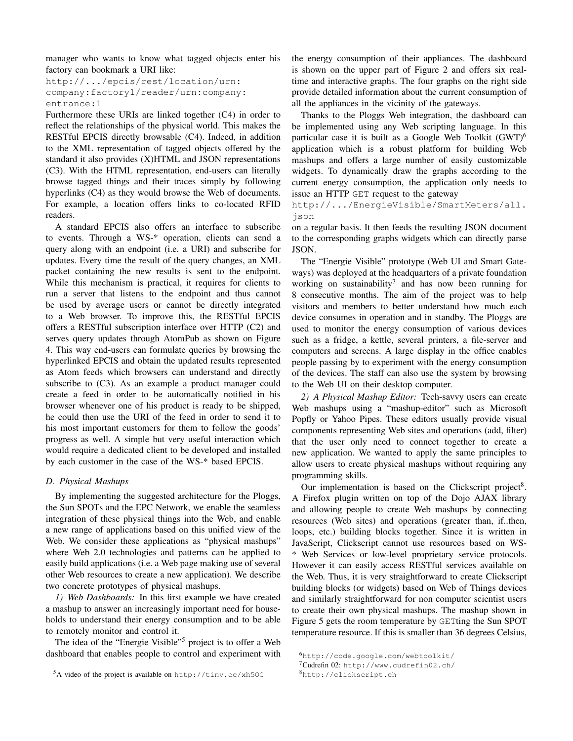manager who wants to know what tagged objects enter his factory can bookmark a URI like:

http://.../epcis/rest/location/urn: company:factory1/reader/urn:company: entrance:1

Furthermore these URIs are linked together (C4) in order to reflect the relationships of the physical world. This makes the RESTful EPCIS directly browsable (C4). Indeed, in addition to the XML representation of tagged objects offered by the standard it also provides (X)HTML and JSON representations (C3). With the HTML representation, end-users can literally browse tagged things and their traces simply by following hyperlinks (C4) as they would browse the Web of documents. For example, a location offers links to co-located RFID readers.

A standard EPCIS also offers an interface to subscribe to events. Through a WS-\* operation, clients can send a query along with an endpoint (i.e. a URI) and subscribe for updates. Every time the result of the query changes, an XML packet containing the new results is sent to the endpoint. While this mechanism is practical, it requires for clients to run a server that listens to the endpoint and thus cannot be used by average users or cannot be directly integrated to a Web browser. To improve this, the RESTful EPCIS offers a RESTful subscription interface over HTTP (C2) and serves query updates through AtomPub as shown on Figure 4. This way end-users can formulate queries by browsing the hyperlinked EPCIS and obtain the updated results represented as Atom feeds which browsers can understand and directly subscribe to (C3). As an example a product manager could create a feed in order to be automatically notified in his browser whenever one of his product is ready to be shipped, he could then use the URI of the feed in order to send it to his most important customers for them to follow the goods' progress as well. A simple but very useful interaction which would require a dedicated client to be developed and installed by each customer in the case of the WS-\* based EPCIS.

## *D. Physical Mashups*

By implementing the suggested architecture for the Ploggs, the Sun SPOTs and the EPC Network, we enable the seamless integration of these physical things into the Web, and enable a new range of applications based on this unified view of the Web. We consider these applications as "physical mashups" where Web 2.0 technologies and patterns can be applied to easily build applications (i.e. a Web page making use of several other Web resources to create a new application). We describe two concrete prototypes of physical mashups.

*1) Web Dashboards:* In this first example we have created a mashup to answer an increasingly important need for households to understand their energy consumption and to be able to remotely monitor and control it.

The idea of the "Energie Visible"<sup>5</sup> project is to offer a Web dashboard that enables people to control and experiment with the energy consumption of their appliances. The dashboard is shown on the upper part of Figure 2 and offers six realtime and interactive graphs. The four graphs on the right side provide detailed information about the current consumption of all the appliances in the vicinity of the gateways.

Thanks to the Ploggs Web integration, the dashboard can be implemented using any Web scripting language. In this particular case it is built as a Google Web Toolkit  $(GWT)^6$ application which is a robust platform for building Web mashups and offers a large number of easily customizable widgets. To dynamically draw the graphs according to the current energy consumption, the application only needs to issue an HTTP GET request to the gateway

http://.../EnergieVisible/SmartMeters/all. json

on a regular basis. It then feeds the resulting JSON document to the corresponding graphs widgets which can directly parse JSON.

The "Energie Visible" prototype (Web UI and Smart Gateways) was deployed at the headquarters of a private foundation working on sustainability<sup>7</sup> and has now been running for 8 consecutive months. The aim of the project was to help visitors and members to better understand how much each device consumes in operation and in standby. The Ploggs are used to monitor the energy consumption of various devices such as a fridge, a kettle, several printers, a file-server and computers and screens. A large display in the office enables people passing by to experiment with the energy consumption of the devices. The staff can also use the system by browsing to the Web UI on their desktop computer.

*2) A Physical Mashup Editor:* Tech-savvy users can create Web mashups using a "mashup-editor" such as Microsoft Popfly or Yahoo Pipes. These editors usually provide visual components representing Web sites and operations (add, filter) that the user only need to connect together to create a new application. We wanted to apply the same principles to allow users to create physical mashups without requiring any programming skills.

Our implementation is based on the Clickscript project<sup>8</sup>. A Firefox plugin written on top of the Dojo AJAX library and allowing people to create Web mashups by connecting resources (Web sites) and operations (greater than, if..then, loops, etc.) building blocks together. Since it is written in JavaScript, Clickscript cannot use resources based on WS- \* Web Services or low-level proprietary service protocols. However it can easily access RESTful services available on the Web. Thus, it is very straightforward to create Clickscript building blocks (or widgets) based on Web of Things devices and similarly straightforward for non computer scientist users to create their own physical mashups. The mashup shown in Figure 5 gets the room temperature by GETting the Sun SPOT temperature resource. If this is smaller than 36 degrees Celsius,

<sup>5</sup>A video of the project is available on http://tiny.cc/xh5OC

<sup>6</sup>http://code.google.com/webtoolkit/

<sup>7</sup>Cudrefin 02: http://www.cudrefin02.ch/

<sup>8</sup>http://clickscript.ch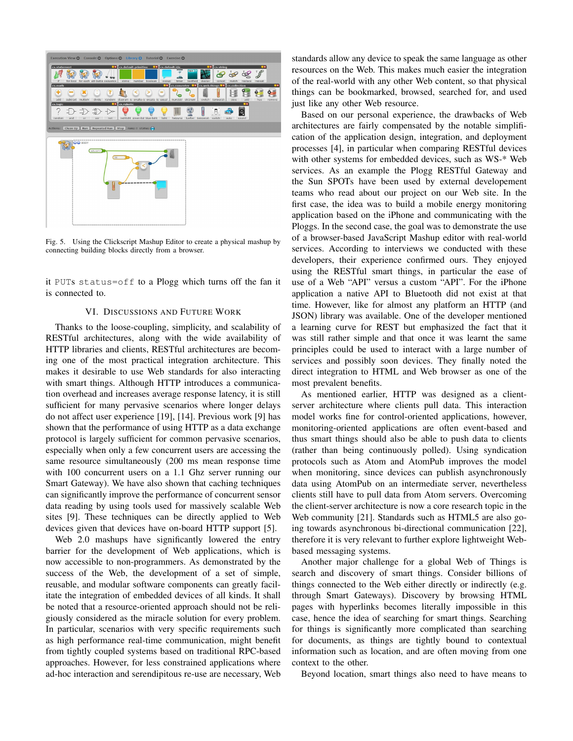

Fig. 5. Using the Clickscript Mashup Editor to create a physical mashup by connecting building blocks directly from a browser.

it PUTs status=off to a Plogg which turns off the fan it is connected to.

# VI. DISCUSSIONS AND FUTURE WORK

Thanks to the loose-coupling, simplicity, and scalability of RESTful architectures, along with the wide availability of HTTP libraries and clients, RESTful architectures are becoming one of the most practical integration architecture. This makes it desirable to use Web standards for also interacting with smart things. Although HTTP introduces a communication overhead and increases average response latency, it is still sufficient for many pervasive scenarios where longer delays do not affect user experience [19], [14]. Previous work [9] has shown that the performance of using HTTP as a data exchange protocol is largely sufficient for common pervasive scenarios, especially when only a few concurrent users are accessing the same resource simultaneously (200 ms mean response time with 100 concurrent users on a 1.1 Ghz server running our Smart Gateway). We have also shown that caching techniques can significantly improve the performance of concurrent sensor data reading by using tools used for massively scalable Web sites [9]. These techniques can be directly applied to Web devices given that devices have on-board HTTP support [5].

Web 2.0 mashups have significantly lowered the entry barrier for the development of Web applications, which is now accessible to non-programmers. As demonstrated by the success of the Web, the development of a set of simple, reusable, and modular software components can greatly facilitate the integration of embedded devices of all kinds. It shall be noted that a resource-oriented approach should not be religiously considered as the miracle solution for every problem. In particular, scenarios with very specific requirements such as high performance real-time communication, might benefit from tightly coupled systems based on traditional RPC-based approaches. However, for less constrained applications where ad-hoc interaction and serendipitous re-use are necessary, Web

standards allow any device to speak the same language as other resources on the Web. This makes much easier the integration of the real-world with any other Web content, so that physical things can be bookmarked, browsed, searched for, and used just like any other Web resource.

Based on our personal experience, the drawbacks of Web architectures are fairly compensated by the notable simplification of the application design, integration, and deployment processes [4], in particular when comparing RESTful devices with other systems for embedded devices, such as WS-\* Web services. As an example the Plogg RESTful Gateway and the Sun SPOTs have been used by external developement teams who read about our project on our Web site. In the first case, the idea was to build a mobile energy monitoring application based on the iPhone and communicating with the Ploggs. In the second case, the goal was to demonstrate the use of a browser-based JavaScript Mashup editor with real-world services. According to interviews we conducted with these developers, their experience confirmed ours. They enjoyed using the RESTful smart things, in particular the ease of use of a Web "API" versus a custom "API". For the iPhone application a native API to Bluetooth did not exist at that time. However, like for almost any platform an HTTP (and JSON) library was available. One of the developer mentioned a learning curve for REST but emphasized the fact that it was still rather simple and that once it was learnt the same principles could be used to interact with a large number of services and possibly soon devices. They finally noted the direct integration to HTML and Web browser as one of the most prevalent benefits.

As mentioned earlier, HTTP was designed as a clientserver architecture where clients pull data. This interaction model works fine for control-oriented applications, however, monitoring-oriented applications are often event-based and thus smart things should also be able to push data to clients (rather than being continuously polled). Using syndication protocols such as Atom and AtomPub improves the model when monitoring, since devices can publish asynchronously data using AtomPub on an intermediate server, nevertheless clients still have to pull data from Atom servers. Overcoming the client-server architecture is now a core research topic in the Web community [21]. Standards such as HTML5 are also going towards asynchronous bi-directional communication [22], therefore it is very relevant to further explore lightweight Webbased messaging systems.

Another major challenge for a global Web of Things is search and discovery of smart things. Consider billions of things connected to the Web either directly or indirectly (e.g. through Smart Gateways). Discovery by browsing HTML pages with hyperlinks becomes literally impossible in this case, hence the idea of searching for smart things. Searching for things is significantly more complicated than searching for documents, as things are tightly bound to contextual information such as location, and are often moving from one context to the other.

Beyond location, smart things also need to have means to